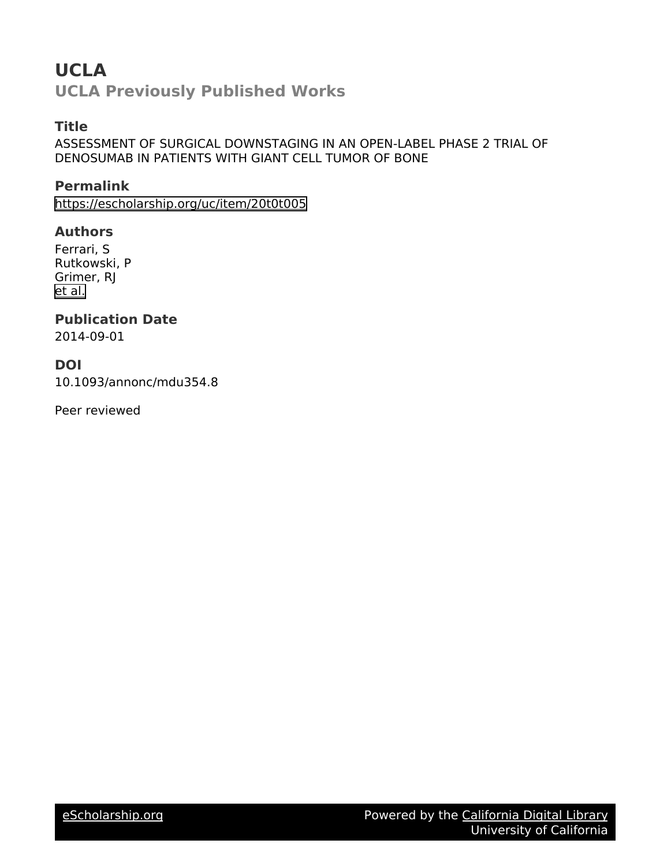# **UCLA**

**UCLA Previously Published Works**

## **Title**

ASSESSMENT OF SURGICAL DOWNSTAGING IN AN OPEN-LABEL PHASE 2 TRIAL OF DENOSUMAB IN PATIENTS WITH GIANT CELL TUMOR OF BONE

**Permalink** <https://escholarship.org/uc/item/20t0t005>

#### **Authors**

Ferrari, S Rutkowski, P Grimer, RJ [et al.](https://escholarship.org/uc/item/20t0t005#author)

### **Publication Date**

2014-09-01

#### **DOI**

10.1093/annonc/mdu354.8

Peer reviewed